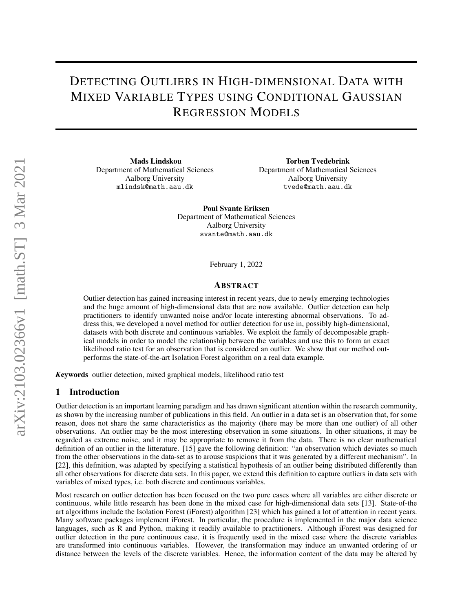# DETECTING OUTLIERS IN HIGH-DIMENSIONAL DATA WITH MIXED VARIABLE TYPES USING CONDITIONAL GAUSSIAN REGRESSION MODELS

Mads Lindskou Department of Mathematical Sciences Aalborg University mlindsk@math.aau.dk

Torben Tvedebrink Department of Mathematical Sciences Aalborg University tvede@math.aau.dk

Poul Svante Eriksen Department of Mathematical Sciences Aalborg University svante@math.aau.dk

February 1, 2022

# ABSTRACT

Outlier detection has gained increasing interest in recent years, due to newly emerging technologies and the huge amount of high-dimensional data that are now available. Outlier detection can help practitioners to identify unwanted noise and/or locate interesting abnormal observations. To address this, we developed a novel method for outlier detection for use in, possibly high-dimensional, datasets with both discrete and continuous variables. We exploit the family of decomposable graphical models in order to model the relationship between the variables and use this to form an exact likelihood ratio test for an observation that is considered an outlier. We show that our method outperforms the state-of-the-art Isolation Forest algorithm on a real data example.

*K*eywords outlier detection, mixed graphical models, likelihood ratio test

#### 1 Introduction

Outlier detection is an important learning paradigm and has drawn significant attention within the research community, as shown by the increasing number of publications in this field. An outlier in a data set is an observation that, for some reason, does not share the same characteristics as the majority (there may be more than one outlier) of all other observations. An outlier may be the most interesting observation in some situations. In other situations, it may be regarded as extreme noise, and it may be appropriate to remove it from the data. There is no clear mathematical definition of an outlier in the litterature. [\[15\]](#page-17-0) gave the following definition: "an observation which deviates so much from the other observations in the data-set as to arouse suspicions that it was generated by a different mechanism". In [\[22\]](#page-17-1), this definition, was adapted by specifying a statistical hypothesis of an outlier being distributed differently than all other observations for discrete data sets. In this paper, we extend this definition to capture outliers in data sets with variables of mixed types, i.e. both discrete and continuous variables.

Most research on outlier detection has been focused on the two pure cases where all variables are either discrete or continuous, while little research has been done in the mixed case for high-dimensional data sets [\[13\]](#page-17-2). State-of-the art algorithms include the Isolation Forest (iForest) algorithm [\[23\]](#page-17-3) which has gained a lot of attention in recent years. Many software packages implement iForest. In particular, the procedure is implemented in the major data science languages, such as R and Python, making it readily available to practitioners. Although iForest was designed for outlier detection in the pure continuous case, it is frequently used in the mixed case where the discrete variables are transformed into continuous variables. However, the transformation may induce an unwanted ordering of or distance between the levels of the discrete variables. Hence, the information content of the data may be altered by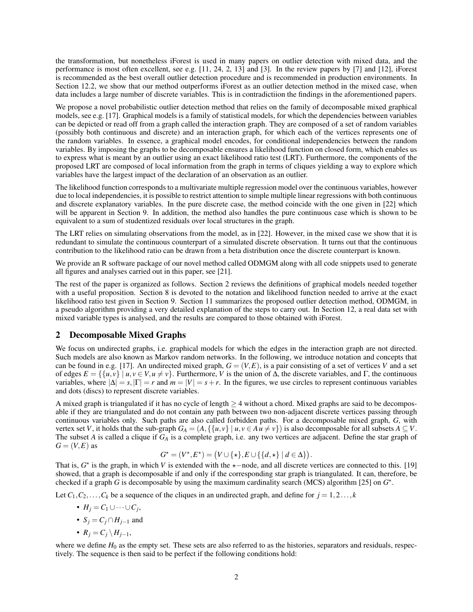the transformation, but nonetheless iForest is used in many papers on outlier detection with mixed data, and the performance is most often excellent, see e.g. [\[11,](#page-17-4) [24,](#page-17-5) [2,](#page-16-0) [13\]](#page-17-2) and [\[3\]](#page-16-1). In the review papers by [\[7\]](#page-16-2) and [\[12\]](#page-17-6), iForest is recommended as the best overall outlier detection procedure and is recommended in production environments. In Section [12.2,](#page-13-0) we show that our method outperforms iForest as an outlier detection method in the mixed case, when data includes a large number of discrete variables. This is in contradictiion the findings in the aforementioned papers.

We propose a novel probabilistic outlier detection method that relies on the family of decomposable mixed graphical models, see e.g. [\[17\]](#page-17-7). Graphical models is a family of statistical models, for which the dependencies between variables can be depicted or read off from a graph called the interaction graph. They are composed of a set of random variables (possibly both continuous and discrete) and an interaction graph, for which each of the vertices represents one of the random variables. In essence, a graphical model encodes, for conditional independencies between the random variables. By imposing the graphs to be decomposable ensures a likelihood function on closed form, which enables us to express what is meant by an outlier using an exact likelihood ratio test (LRT). Furthermore, the components of the proposed LRT are composed of local information from the graph in terms of cliques yielding a way to explore which variables have the largest impact of the declaration of an observation as an outlier.

The likelihood function corresponds to a multivariate multiple regression model over the continuous variables, however due to local independencies, it is possible to restrict attention to simple multiple linear regressions with both continuous and discrete explanatory variables. In the pure discrete case, the method coincide with the one given in [\[22\]](#page-17-1) which will be apparent in Section [9.](#page-8-0) In addition, the method also handles the pure continuous case which is shown to be equivalent to a sum of studentized residuals over local structures in the graph.

The LRT relies on simulating observations from the model, as in [\[22\]](#page-17-1). However, in the mixed case we show that it is redundant to simulate the continuous counterpart of a simulated discrete observation. It turns out that the continuous contribution to the likelihood ratio can be drawn from a beta distribution once the discrete counterpart is known.

We provide an R software package of our novel method called ODMGM along with all code snippets used to generate all figures and analyses carried out in this paper, see [\[21\]](#page-17-8).

The rest of the paper is organized as follows. Section [2](#page-1-0) reviews the definitions of graphical models needed together with a useful proposition. Section [8](#page-6-0) is devoted to the notation and likelihood function needed to arrive at the exact likelihood ratio test given in Section [9.](#page-8-0) Section [11](#page-11-0) summarizes the proposed outlier detection method, ODMGM, in a pseudo algorithm providing a very detailed explanation of the steps to carry out. In Section [12,](#page-11-1) a real data set with mixed variable types is analysed, and the results are compared to those obtained with iForest.

# <span id="page-1-0"></span>2 Decomposable Mixed Graphs

We focus on undirected graphs, i.e. graphical models for which the edges in the interaction graph are not directed. Such models are also known as Markov random networks. In the following, we introduce notation and concepts that can be found in e.g. [\[17\]](#page-17-7). An undirected mixed graph,  $G = (V, E)$ , is a pair consisting of a set of vertices V and a set of edges  $E = \{ {u, v} \mid u, v \in V, u \neq v}$ . Furthermore, *V* is the union of Δ, the discrete variables, and Γ, the continuous variables, where  $|\Delta| = s, |\Gamma| = r$  and  $m = |V| = s + r$ . In the figures, we use circles to represent continuous variables and dots (discs) to represent discrete variables.

A mixed graph is triangulated if it has no cycle of length  $\geq$  4 without a chord. Mixed graphs are said to be decomposable if they are triangulated and do not contain any path between two non-adjacent discrete vertices passing through continuous variables only. Such paths are also called forbidden paths. For a decomposable mixed graph, *G*, with vertex set *V*, it holds that the sub-graph  $G_A = (A, \{\{u, v\} \mid u, v \in A \mid u \neq v\})$  is also decomposable for all subsets  $A \subseteq V$ . The subset *A* is called a clique if *G<sup>A</sup>* is a complete graph, i.e. any two vertices are adjacent. Define the star graph of  $G = (V, E)$  as

$$
G^{\star} = (V^{\star}, E^{\star}) = (V \cup \{\star\}, E \cup \{\{d, \star\} \mid d \in \Delta\}).
$$

That is,  $G^*$  is the graph, in which *V* is extended with the  $\star$ −node, and all discrete vertices are connected to this. [\[19\]](#page-17-9) showed, that a graph is decomposable if and only if the corresponding star graph is triangulated. It can, therefore, be checked if a graph *G* is decomposable by using the maximum cardinality search (MCS) algorithm [\[25\]](#page-17-10) on  $G^*$ .

Let  $C_1, C_2, \ldots, C_k$  be a sequence of the cliques in an undirected graph, and define for  $j = 1, 2, \ldots, k$ 

- *H<sup>j</sup>* = *C*<sup>1</sup> ∪··· ∪*C<sup>j</sup>* ,
- $S_i = C_i \cap H_{i-1}$  and
- $R_j = C_j \setminus H_{j-1}$ ,

where we define  $H_0$  as the empty set. These sets are also referred to as the histories, separators and residuals, respectively. The sequence is then said to be perfect if the following conditions hold: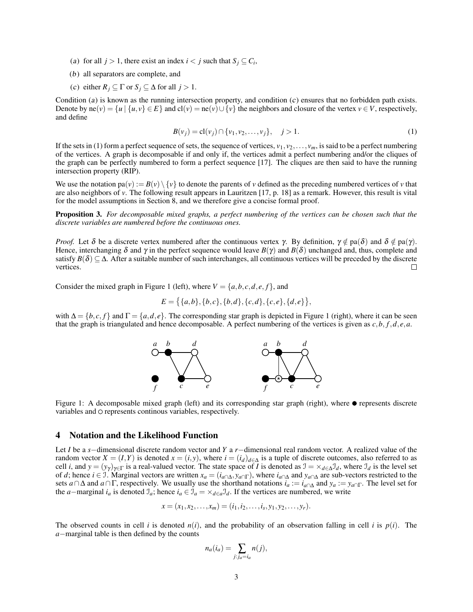- <span id="page-2-0"></span>(a) for all  $j > 1$ , there exist an index  $i < j$  such that  $S_j \subseteq C_i$ ,
- (b) all separators are complete, and
- <span id="page-2-1"></span>(c) either  $R_j \subseteq \Gamma$  or  $S_j \subseteq \Delta$  for all  $j > 1$ .

Condition ([a](#page-2-0)) is known as the running interse[c](#page-2-1)tion property, and condition  $(c)$  ensures that no forbidden path exists. Denote by  $ne(v) = \{u \mid \{u, v\} \in E\}$  and  $cl(v) = ne(v) \cup \{v\}$  the neighbors and closure of the vertex  $v \in V$ , respectively, and define

<span id="page-2-2"></span>
$$
B(v_j) = \text{cl}(v_j) \cap \{v_1, v_2, \dots, v_j\}, \quad j > 1.
$$
 (1)

If the sets in [\(1\)](#page-2-2) form a perfect sequence of sets, the sequence of vertices,  $v_1, v_2, \ldots, v_m$ , is said to be a perfect numbering of the vertices. A graph is decomposable if and only if, the vertices admit a perfect numbering and/or the cliques of the graph can be perfectly numbered to form a perfect sequence [\[17\]](#page-17-7). The cliques are then said to have the running intersection property (RIP).

We use the notation  $pa(v) := B(v) \setminus \{v\}$  to denote the parents of *v* defined as the preceding numbered vertices of *v* that are also neighbors of *v*. The following result appears in Lauritzen [\[17,](#page-17-7) p. 18] as a remark. However, this result is vital for the model assumptions in Section [8,](#page-6-0) and we therefore give a concise formal proof.

<span id="page-2-4"></span>Proposition 3. *For decomposable mixed graphs, a perfect numbering of the vertices can be chosen such that the discrete variables are numbered before the continuous ones.*

*Proof.* Let  $\delta$  be a discrete vertex numbered after the continuous vertex  $\gamma$ . By definition,  $\gamma \notin pa(\delta)$  and  $\delta \notin pa(\gamma)$ . Hence, interchanging  $\delta$  and  $\gamma$  in the perfect sequence would leave  $B(\gamma)$  and  $B(\delta)$  unchanged and, thus, complete and satisfy  $B(\delta) \subseteq \Delta$ . After a suitable number of such interchanges, all continuous vertices will be preceded by the discrete vertices.  $\Box$ 

Consider the mixed graph in Figure [1](#page-2-3) (left), where  $V = \{a, b, c, d, e, f\}$ , and

$$
E = \{ \{a,b\}, \{b,c\}, \{b,d\}, \{c,d\}, \{c,e\}, \{d,e\} \},
$$

<span id="page-2-3"></span>with  $\Delta = \{b, c, f\}$  and  $\Gamma = \{a, d, e\}$ . The corresponding star graph is depicted in Figure [1](#page-2-3) (right), where it can be seen that the graph is triangulated and hence decomposable. A perfect numbering of the vertices is given as *c*,*b*, *f*,*d*, *e*,*a*.



Figure 1: A decomposable mixed graph (left) and its corresponding star graph (right), where  $\bullet$  represents discrete variables and  $\circ$  represents continous variables, respectively.

# 4 Notation and the Likelihood Function

Let *I* be a *s*−dimensional discrete random vector and *Y* a *r*−dimensional real random vector. A realized value of the random vector  $X = (I, Y)$  is denoted  $x = (i, y)$ , where  $i = (i_d)_{d \in \Delta}$  is a tuple of discrete outcomes, also referred to as cell *i*, and  $y = (y_\gamma)_{\gamma \in \Gamma}$  is a real-valued vector. The state space of *I* is denoted as  $\mathcal{I} = \times_{d \in \Delta} \mathcal{I}_d$ , where  $\mathcal{I}_d$  is the level set of *d*; hence *i* ∈ J. Marginal vectors are written  $x_a = (i_{a \cap \Delta}, y_{a \cap \Gamma})$ , where  $i_{a \cap \Delta}$  and  $y_{a \cap \Delta}$  are sub-vectors restricted to the sets *a*∩∆ and *a*∩Γ, respectively. We usually use the shorthand notations *i<sup>a</sup>* := *ia*∩<sup>∆</sup> and *y<sup>a</sup>* := *ya*∩Γ. The level set for the *a*−marginal  $i_a$  is denoted  $\mathcal{I}_a$ ; hence  $i_a \in \mathcal{I}_a = \times_{d \in a} \mathcal{I}_d$ . If the vertices are numbered, we write

$$
x=(x_1,x_2,\ldots,x_m)=(i_1,i_2,\ldots,i_s,y_1,y_2,\ldots,y_r).
$$

The observed counts in cell *i* is denoted  $n(i)$ , and the probability of an observation falling in cell *i* is  $p(i)$ . The *a*−marginal table is then defined by the counts

$$
n_a(i_a) = \sum_{j:j_a=i_a} n(j),
$$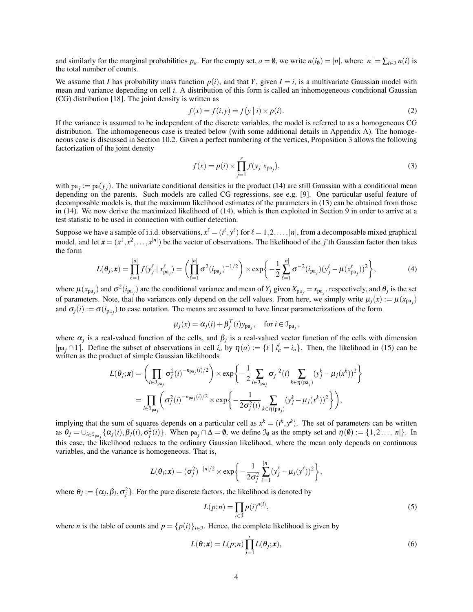and similarly for the marginal probabilities  $p_a$ . For the empty set,  $a = \emptyset$ , we write  $n(i_0) = |n|$ , where  $|n| = \sum_{i \in \mathcal{I}} n(i)$  is the total number of counts.

We assume that *I* has probability mass function  $p(i)$ , and that *Y*, given  $I = i$ , is a multivariate Gaussian model with mean and variance depending on cell *i*. A distribution of this form is called an inhomogeneous conditional Gaussian (CG) distribution [\[18\]](#page-17-11). The joint density is written as

$$
f(x) = f(i, y) = f(y | i) \times p(i).
$$
 (2)

If the variance is assumed to be independent of the discrete variables, the model is referred to as a homogeneous CG distribution. The inhomogeneous case is treated below (with some additional details in Appendix [A\)](#page-15-0). The homogeneous case is discussed in Section [10.2.](#page-10-0) Given a perfect numbering of the vertices, Proposition [3](#page-2-4) allows the following factorization of the joint density

$$
f(x) = p(i) \times \prod_{j=1}^{r} f(y_j | x_{pa_j}),
$$
\n(3)

with  $pa_j := pa(y_j)$ . The univariate conditional densities in the product [\(14\)](#page-7-0) are still Gaussian with a conditional mean depending on the parents. Such models are called CG regressions, see e.g. [\[9\]](#page-16-3). One particular useful feature of decomposable models is, that the maximum likelihood estimates of the parameters in [\(13\)](#page-7-1) can be obtained from those in [\(14\)](#page-7-0). We now derive the maximized likelihood of [\(14\)](#page-7-0), which is then exploited in Section [9](#page-8-0) in order to arrive at a test statistic to be used in connection with outlier detection.

Suppose we have a sample of i.i.d. observations,  $x^{\ell} = (i^{\ell}, y^{\ell})$  for  $\ell = 1, 2, ..., |n|$ , from a decomposable mixed graphical model, and let  $\mathbf{x} = (x^1, x^2, \dots, x^{|n|})$  be the vector of observations. The likelihood of the *j*'th Gaussian factor then takes the form

$$
L(\theta_j; \mathbf{x}) = \prod_{\ell=1}^{|n|} f(y_j^{\ell} | x_{pa_j}^{\ell}) = \left( \prod_{\ell=1}^{|n|} \sigma^2 (i_{pa_j})^{-1/2} \right) \times \exp \left\{ -\frac{1}{2} \sum_{\ell=1}^{|n|} \sigma^{-2} (i_{pa_j}) (y_j^{\ell} - \mu (x_{pa_j}^{\ell}))^2 \right\},
$$
(4)

where  $\mu(x_{pa_j})$  and  $\sigma^2(i_{pa_j})$  are the conditional variance and mean of  $Y_j$  given  $X_{pa_j} = x_{pa_j}$ , respectively, and  $\theta_j$  is the set of parameters. Note, that the variances only depend on the cell values. From here, we simply write  $\mu_j(x) := \mu(x_{pa_j})$ and  $\sigma_j(i) := \sigma(i_{pa_j})$  to ease notation. The means are assumed to have linear parameterizations of the form

$$
\mu_j(x) = \alpha_j(i) + \beta_j^T(i)y_{pa_j}, \quad \text{for } i \in \mathcal{I}_{pa_j},
$$

where  $\alpha_j$  is a real-valued function of the cells, and  $\beta_j$  is a real-valued vector function of the cells with dimension  $|pa_j \cap \Gamma|$ . Define the subset of observations in cell  $i_a$  by  $\eta(a) := \{ \ell \mid i_a^{\ell} = i_a \}$ . Then, the likelihood in [\(15\)](#page-7-2) can be written as the product of simple Gaussian likelihoods

$$
L(\theta_j; \mathbf{x}) = \left( \prod_{i \in \mathcal{I}_{pa_j}} \sigma_j^2(i)^{-n_{pa_j}(i)/2} \right) \times \exp \left\{ -\frac{1}{2} \sum_{i \in \mathcal{I}_{pa_j}} \sigma_j^{-2}(i) \sum_{k \in \eta(p_{a_j})} (y_j^k - \mu_j(x^k))^2 \right\}
$$
  
= 
$$
\prod_{i \in \mathcal{I}_{pa_j}} \left( \sigma_j^2(i)^{-n_{pa_j}(i)/2} \times \exp \left\{ -\frac{1}{2\sigma_j^2(i)} \sum_{k \in \eta(p_{a_j})} (y_j^k - \mu_j(x^k))^2 \right\} \right),
$$

implying that the sum of squares depends on a particular cell as  $x^k = (i^k, y^k)$ . The set of parameters can be written as  $\theta_j = \bigcup_{i \in \mathcal{I}_{pa_j}} {\{\alpha_j(i), \beta_j(i), \sigma_j^2(i)\}}$ . When  $pa_j \cap \Delta = \emptyset$ , we define  $\mathcal{I}_{\emptyset}$  as the empty set and  $\eta(\emptyset) := \{1, 2, ..., |n|\}$ . In this case, the likelihood reduces to the ordinary Gaussian likelihood, where the mean only depends on continuous variables, and the variance is homogeneous. That is,

$$
L(\boldsymbol{\theta}_j; \mathbf{x}) = (\sigma_j^2)^{-|n|/2} \times \exp\bigg\{-\frac{1}{2\sigma_j^2}\sum_{\ell=1}^{|n|} (y_j^{\ell} - \mu_j(y^{\ell}))^2\bigg\},
$$

where  $\theta_j := {\alpha_j, \beta_j, \sigma_j^2}$ . For the pure discrete factors, the likelihood is denoted by

$$
L(p;n) = \prod_{i \in \mathcal{I}} p(i)^{n(i)},\tag{5}
$$

where *n* is the table of counts and  $p = \{p(i)\}_{i \in J}$ . Hence, the complete likelihood is given by

$$
L(\theta; \mathbf{x}) = L(p; n) \prod_{j=1}^{r} L(\theta_j; \mathbf{x}),
$$
\n(6)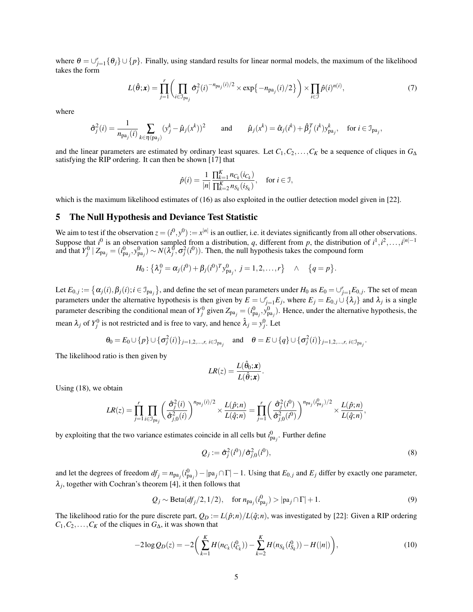where  $\theta = \bigcup_{j=1}^r {\theta_j} \cup \{p\}$ . Finally, using standard results for linear normal models, the maximum of the likelihood takes the form

$$
L(\hat{\theta}; \mathbf{x}) = \prod_{j=1}^r \left( \prod_{i \in \mathcal{I}_{pa_j}} \hat{\sigma}_j^2(i)^{-n_{pa_j}(i)/2} \times \exp\{-n_{pa_j}(i)/2\} \right) \times \prod_{i \in \mathcal{I}} \hat{p}(i)^{n(i)},\tag{7}
$$

where

$$
\hat{\sigma}_j^2(i) = \frac{1}{n_{\text{pa}_j}(i)} \sum_{k \in \eta(\text{pa}_j)} (y_j^k - \hat{\mu}_j(x^k))^2 \quad \text{and} \quad \hat{\mu}_j(x^k) = \hat{\alpha}_j(i^k) + \hat{\beta}_j^T(i^k) y_{\text{pa}_j}^k, \quad \text{for } i \in \mathcal{I}_{\text{pa}_j},
$$

and the linear parameters are estimated by ordinary least squares. Let  $C_1, C_2, \ldots, C_K$  be a sequence of cliques in  $G_\Delta$ satisfying the RIP ordering. It can then be shown [\[17\]](#page-17-7) that

$$
\hat{p}(i) = \frac{1}{|n|} \frac{\prod_{k=1}^{K} n_{C_k}(i_{C_k})}{\prod_{k=2}^{K} n_{S_k}(i_{S_k})}, \quad \text{for } i \in \mathcal{I},
$$

which is the maximum likelihood estimates of [\(16\)](#page-8-1) as also exploited in the outlier detection model given in [\[22\]](#page-17-1).

# 5 The Null Hypothesis and Deviance Test Statistic

We aim to test if the observation  $z = (i^0, y^0) := x^{|n|}$  is an outlier, i.e. it deviates significantly from all other observations. Suppose that  $i^0$  is an observation sampled from a distribution, *q*, different from *p*, the distribution of  $i^1, i^2, \ldots, i^{|n|-1}$ and that  $Y_j^0 | Z_{pa_j} = (i_{pa_j}^0, y_{pa_j}^0) \sim N(\lambda_j^0, \sigma_j^2(i^0))$ . Then, the null hypothesis takes the compound form

$$
H_0: \{\lambda_j^0 = \alpha_j(i^0) + \beta_j(i^0)^T y_{\text{pa}_j}^0, \ j = 1, 2, \dots, r\} \quad \wedge \quad \{q = p\}.
$$

Let  $E_{0,j} := \left\{ \alpha_j(i), \beta_j(i); i \in \mathcal{I}_{pa_j} \right\}$ , and define the set of mean parameters under  $H_0$  as  $E_0 = \cup_{j=1}^r E_{0,j}$ . The set of mean parameters under the alternative hypothesis is then given by  $E = \bigcup_{j=1}^{r} E_j$ , where  $E_j = E_{0,j} \cup \{\lambda_j\}$  and  $\lambda_j$  is a single parameter describing the conditional mean of  $Y_j^0$  given  $Z_{pa_j} = (i_{pa_j}^0, y_{pa_j}^0)$ . Hence, under the alternative hypothesis, the mean  $\lambda_j$  of  $Y_j^0$  is not restricted and is free to vary, and hence  $\hat{\lambda}_j = y_j^0$ . Let

$$
\theta_0 = E_0 \cup \{p\} \cup \{\sigma_j^2(i)\}_{j=1,2,\dots,r,\ i \in \mathcal{I}_{\text{pa}_j}} \quad \text{and} \quad \theta = E \cup \{q\} \cup \{\sigma_j^2(i)\}_{j=1,2,\dots,r,\ i \in \mathcal{I}_{\text{pa}_j}}.
$$

The likelihood ratio is then given by

$$
LR(z) = \frac{L(\hat{\theta}_0; \mathbf{x})}{L(\hat{\theta}; \mathbf{x})}.
$$

Using [\(18\)](#page-8-2), we obtain

$$
LR(z) = \prod_{j=1}^r \prod_{i \in \mathcal{I}_{pa_j}} \left( \frac{\hat{\sigma}_j^2(i)}{\hat{\sigma}_{j,0}^2(i)} \right)^{n_{pa_j}(i)/2} \times \frac{L(\hat{p};n)}{L(\hat{q};n)} = \prod_{j=1}^r \left( \frac{\hat{\sigma}_j^2(i^0)}{\hat{\sigma}_{j,0}^2(i^0)} \right)^{n_{pa_j}(i_{pa_j}^0)/2} \times \frac{L(\hat{p};n)}{L(\hat{q};n)},
$$

by exploiting that the two variance estimates coincide in all cells but  $i_{pa_j}^0$ . Further define

$$
Q_j := \hat{\sigma}_j^2(i^0)/\hat{\sigma}_{j,0}^2(i^0),\tag{8}
$$

and let the degrees of freedom  $df_j = n_{pa_j}(i_{pa_j}^0) - |pa_j \cap \Gamma| - 1$ . Using that  $E_{0,j}$  and  $E_j$  differ by exactly one parameter,  $\lambda_j$ , together with Cochran's theorem [\[4\]](#page-16-4), it then follows that

$$
Q_j \sim \text{Beta}(df_j/2, 1/2), \quad \text{for } n_{\text{pa}_j}(i_{\text{pa}_j}^0) > |\text{pa}_j \cap \Gamma| + 1. \tag{9}
$$

The likelihood ratio for the pure discrete part,  $Q_D := L(\hat{p}; n)/L(\hat{q}; n)$ , was investigated by [\[22\]](#page-17-1): Given a RIP ordering  $C_1, C_2, \ldots, C_K$  of the cliques in  $G_{\Delta}$ , it was shown that

$$
-2\log Q_D(z) = -2\bigg(\sum_{k=1}^K H(n_{C_k}(i_{C_k}^0)) - \sum_{k=2}^K H(n_{S_k}(i_{S_k}^0)) - H(|n|)\bigg),\tag{10}
$$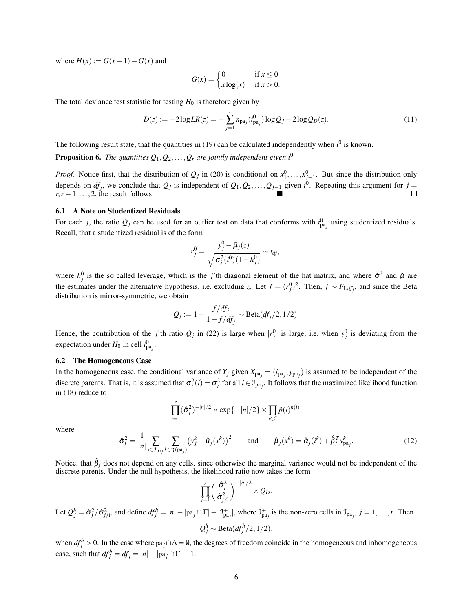where  $H(x) := G(x-1) - G(x)$  and

$$
G(x) = \begin{cases} 0 & \text{if } x \le 0\\ x \log(x) & \text{if } x > 0. \end{cases}
$$

The total deviance test statistic for testing  $H_0$  is therefore given by

$$
D(z) := -2\log LR(z) = -\sum_{j=1}^{r} n_{pa_j}(i_{pa_j}^0) \log Q_j - 2\log Q_D(z). \tag{11}
$$

The following result state, that the quantities in  $(19)$  can be calculated independently when  $i^0$  is known.

**Proposition 6.** The quantities  $Q_1, Q_2, \ldots, Q_r$  are jointly independent given  $i^0$ .

*Proof.* Notice first, that the distribution of  $Q_j$  in [\(20\)](#page-9-1) is conditional on  $x_1^0, \ldots, x_{j-1}^0$ . But since the distribution only depends on  $df_j$ , we conclude that  $Q_j$  is independent of  $Q_1, Q_2, \ldots, Q_{j-1}$  given  $i^0$ . Repeating this argument for  $j =$  $r, r-1, \ldots, 2$ , the result follows.  $\Box$ 

#### 6.1 A Note on Studentized Residuals

For each *j*, the ratio  $Q_j$  can be used for an outlier test on data that conforms with  $i_{pa_j}^0$  using studentized residuals. Recall, that a studentized residual is of the form

$$
r_j^0 = \frac{y_j^0 - \tilde{\mu}_j(z)}{\sqrt{\tilde{\sigma}_j^2(i^0)(1 - h_j^0)}} \sim t_{df_j},
$$

where  $h_j^0$  is the so called leverage, which is the *j*'th diagonal element of the hat matrix, and where  $\tilde{\sigma}^2$  and  $\tilde{\mu}$  are the estimates under the alternative hypothesis, i.e. excluding *z*. Let  $f = (r_j^0)^2$ . Then,  $f \sim F_{1, df_j}$ , and since the Beta distribution is mirror-symmetric, we obtain

$$
Q_j := 1 - \frac{f/df_j}{1 + f/df_j} \sim \text{Beta}(df_j/2, 1/2).
$$

Hence, the contribution of the *j*'th ratio  $Q_j$  in [\(22\)](#page-9-2) is large when  $|r_j^0|$  is large, i.e. when  $y_j^0$  is deviating from the expectation under  $H_0$  in cell  $i_{pa_j}^0$ .

### 6.2 The Homogeneous Case

In the homogeneous case, the conditional variance of  $Y_j$  given  $X_{pa_j} = (i_{pa_j}, y_{pa_j})$  is assumed to be independent of the discrete parents. That is, it is assumed that  $\sigma_j^2(i) = \sigma_j^2$  for all  $i \in \mathcal{I}_{pa_j}$ . It follows that the maximized likelihood function in [\(18\)](#page-8-2) reduce to

$$
\prod_{j=1}^r (\hat{\sigma}_j^2)^{-|n|/2} \times \exp\{-|n|/2\} \times \prod_{i \in \mathcal{I}} \hat{p}(i)^{n(i)},
$$

where

$$
\hat{\sigma}_j^2 = \frac{1}{|n|} \sum_{i \in \mathcal{I}_{\text{pa}_j}} \sum_{k \in \eta(\text{pa}_j)} \left( y_j^k - \hat{\mu}_j(x^k) \right)^2 \quad \text{and} \quad \hat{\mu}_j(x^k) = \hat{\alpha}_j(i^k) + \hat{\beta}_j^T y_{\text{pa}_j}^k. \tag{12}
$$

Notice, that  $\hat{\beta}_i$  does not depend on any cells, since otherwise the marginal variance would not be independent of the discrete parents. Under the null hypothesis, the likelihood ratio now takes the form

$$
\prod_{j=1}^r \left(\frac{\hat{\sigma}_j^2}{\hat{\sigma}_{j,0}^2}\right)^{-|n|/2} \times Q_D.
$$

Let  $Q_j^h = \hat{\sigma}_j^2 / \hat{\sigma}_{j,0}^2$ , and define  $df_j^h = |n| - |\text{pa}_j \cap \Gamma| - |\mathcal{I}_{\text{pa}_j}^+|$ , where  $\mathcal{I}_{\text{pa}_j}^+$  is the non-zero cells in  $\mathcal{I}_{\text{pa}_j}$ ,  $j = 1, \dots, r$ . Then  $Q_j^h \sim \text{Beta}(df_j^h/2, 1/2),$ 

when  $df_j^h > 0$ . In the case where pa<sub>j</sub> ∩ $\Delta = \emptyset$ , the degrees of freedom coincide in the homogeneous and inhomogeneous case, such that  $df_j^h = df_j = |n| - |pa_j \cap \Gamma| - 1$ .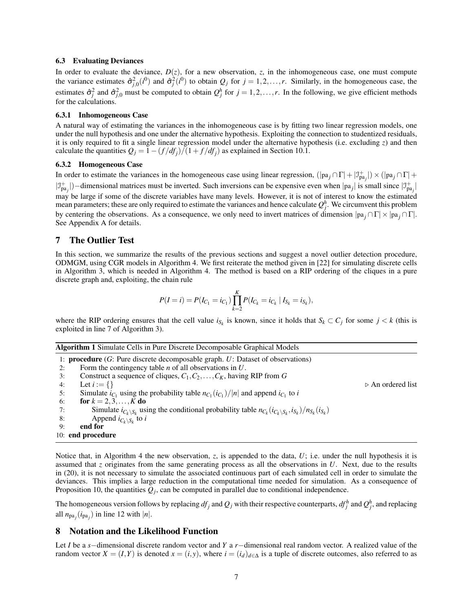#### 6.3 Evaluating Deviances

In order to evaluate the deviance,  $D(z)$ , for a new observation, *z*, in the inhomogeneous case, one must compute the variance estimates  $\hat{\sigma}_{j,0}^2(i^0)$  and  $\hat{\sigma}_j^2(i^0)$  to obtain  $Q_j$  for  $j = 1, 2, ..., r$ . Similarly, in the homogeneous case, the estimates  $\hat{\sigma}_j^2$  and  $\hat{\sigma}_{j,0}^2$  must be computed to obtain  $Q_j^h$  for  $j = 1,2,\ldots,r$ . In the following, we give efficient methods for the calculations.

#### 6.3.1 Inhomogeneous Case

A natural way of estimating the variances in the inhomogeneous case is by fitting two linear regression models, one under the null hypothesis and one under the alternative hypothesis. Exploiting the connection to studentized residuals, it is only required to fit a single linear regression model under the alternative hypothesis (i.e. excluding *z*) and then calculate the quantities  $Q_j = 1 - (f/df_j)/(1 + f/df_j)$  as explained in Section [10.1.](#page-9-3)

### 6.3.2 Homogeneous Case

In order to estimate the variances in the homogeneous case using linear regression,  $(|pa_j \cap \Gamma| + |\mathcal{I}_{pa_j}^+|) \times (|pa_j \cap \Gamma| + |\mathcal{I}_{pa_j}^+|)$  $|J_{pa_j}^+|$ )–dimensional matrices must be inverted. Such inversions can be expensive even when  $|pa_j|$  is small since  $|J_{pa_j}^+|$ may be large if some of the discrete variables have many levels. However, it is not of interest to know the estimated mean parameters; these are only required to estimate the variances and hence calculate  $Q_j^h$ . We circumvent this problem by centering the observations. As a consequence, we only need to invert matrices of dimension |pa *<sup>j</sup>* ∩Γ| × |pa *<sup>j</sup>* ∩Γ|. See Appendix [A](#page-15-0) for details.

### 7 The Outlier Test

In this section, we summarize the results of the previous sections and suggest a novel outlier detection procedure, ODMGM, using CGR models in Algorithm [4.](#page-11-2) We first reiterate the method given in [\[22\]](#page-17-1) for simulating discrete cells in Algorithm [3,](#page-11-3) which is needed in Algorithm [4.](#page-11-2) The method is based on a RIP ordering of the cliques in a pure discrete graph and, exploiting, the chain rule

$$
P(I = i) = P(I_{C_1} = i_{C_1}) \prod_{k=2}^{K} P(I_{C_k} = i_{C_k} | I_{S_k} = i_{S_k}),
$$

where the RIP ordering ensures that the cell value  $i_{S_k}$  is known, since it holds that  $S_k \subset C_j$  for some  $j < k$  (this is exploited in line [7](#page-11-3) of Algorithm [3\)](#page-11-3).

|--|

|    | 1: <b>procedure</b> ( $G$ : Pure discrete decomposable graph. $U$ : Dataset of observations)                                        |                                  |
|----|-------------------------------------------------------------------------------------------------------------------------------------|----------------------------------|
| 2: | Form the contingency table $n$ of all observations in $U$ .                                                                         |                                  |
| 3: | Construct a sequence of cliques, $C_1, C_2, \ldots, C_K$ , having RIP from G                                                        |                                  |
| 4: | Let $i := \{\}\$                                                                                                                    | $\triangleright$ An ordered list |
| 5: | Simulate $i_{C_1}$ using the probability table $n_{C_1}(i_{C_1})/ n $ and append $i_{C_1}$ to i                                     |                                  |
| 6: | for $k = 2, 3, , K$ do                                                                                                              |                                  |
| 7: | Simulate $i_{C_k \setminus S_k}$ using the conditional probability table $n_{C_k}(i_{C_k \setminus S_k}, i_{S_k})/n_{S_k}(i_{S_k})$ |                                  |
| 8: | Append $i_{C_k \setminus S_k}$ to i                                                                                                 |                                  |
| 9: | end for                                                                                                                             |                                  |
|    | 10: end procedure                                                                                                                   |                                  |

Notice that, in Algorithm [4](#page-11-2) the new observation, *z*, is appended to the data, *U*; i.e. under the null hypothesis it is assumed that *z* originates from the same generating process as all the observations in *U*. Next, due to the results in [\(20\)](#page-9-1), it is not necessary to simulate the associated continuous part of each simulated cell in order to simulate the deviances. This implies a large reduction in the computational time needed for simulation. As a consequence of Proposition [10,](#page-9-4) the quantities  $Q_j$ , can be computed in parallel due to conditional independence.

The homogeneous version follows by replacing  $df_j$  and  $Q_j$  with their respective counterparts,  $df_j^h$  and  $Q_j^h$ , and replacing all  $n_{pa_j}(i_{pa_j})$  in line [12](#page-11-2) with  $|n|$ .

# <span id="page-6-0"></span>8 Notation and the Likelihood Function

Let *I* be a *s*−dimensional discrete random vector and *Y* a *r*−dimensional real random vector. A realized value of the random vector  $X = (I, Y)$  is denoted  $x = (i, y)$ , where  $i = (i_d)_{d \in \Delta}$  is a tuple of discrete outcomes, also referred to as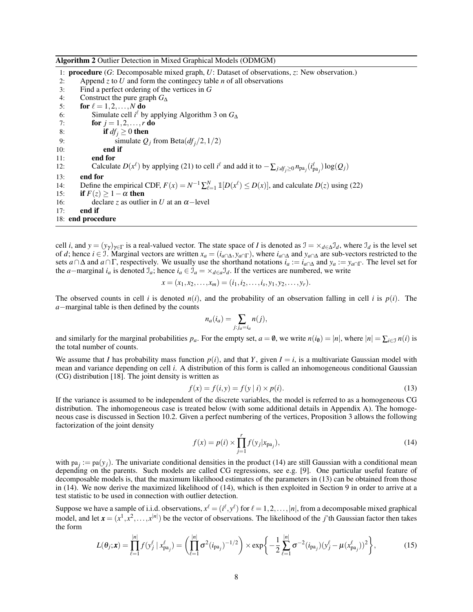#### Algorithm 2 Outlier Detection in Mixed Graphical Models (ODMGM)

1: procedure (*G*: Decomposable mixed graph, *U*: Dataset of observations, *z*: New observation.) 2: Append *z* to *U* and form the contingecy table *n* of all observations 3: Find a perfect ordering of the vertices in *G* 3: Find a perfect ordering of the vertices in *G* 4: Construct the pure graph  $G_{\Delta}$ <br>5: **for**  $\ell = 1, 2, ..., N$  **do** for  $\ell = 1,2,\ldots,N$  do 6: Simulate cell *i*<sup> $\ell$ </sup> by applying Algorithm [3](#page-11-3) on  $G_{\Delta}$ 7: **for**  $j = 1, 2, ..., r$  **do** 8: **if**  $df_i \ge 0$  **then** 9: simulate  $Q_j$  from Beta $(df_j/2, 1/2)$ <br>10: **end if** end if 11: end for 12: Calculate  $D(x^{\ell})$  by applying [\(21\)](#page-9-5) to cell  $i^{\ell}$  and add it to  $-\sum_{j:d f_j\geq 0} n_{pa_j}(i^{\ell}_{pa_j}) \log(Q_j)$ 13: end for 14: Define the empirical CDF,  $F(x) = N^{-1} \sum_{\ell=1}^{N} \mathbb{1}[D(x^{\ell}) \leq D(x)]$ , and calculate  $D(z)$  using [\(22\)](#page-9-2) 15: **if**  $F(z) > 1 - \alpha$  then 16: declare *z* as outlier in *U* at an  $\alpha$ -level 17: end if 18: end procedure

cell *i*, and  $y = (y_\gamma)_{\gamma \in \Gamma}$  is a real-valued vector. The state space of *I* is denoted as  $\mathcal{I} = \times_{d \in \Delta} \mathcal{I}_d$ , where  $\mathcal{I}_d$  is the level set of *d*; hence *i* ∈ J. Marginal vectors are written  $x_a = (i_{a \cap \Delta}, y_{a \cap \Gamma})$ , where  $i_{a \cap \Delta}$  and  $y_{a \cap \Delta}$  are sub-vectors restricted to the sets *a* ∩ ∆ and *a* ∩ Γ, respectively. We usually use the shorthand notations  $i_a := i_{a \cap \Delta}$  and  $y_a := y_{a \cap \Gamma}$ . The level set for the *a*−marginal  $i_a$  is denoted  $\mathcal{I}_a$ ; hence  $i_a \in \mathcal{I}_a = \times_{d \in a} \mathcal{I}_d$ . If the vertices are numbered, we write

$$
x=(x_1,x_2,\ldots,x_m)=(i_1,i_2,\ldots,i_s,y_1,y_2,\ldots,y_r).
$$

The observed counts in cell *i* is denoted  $n(i)$ , and the probability of an observation falling in cell *i* is  $p(i)$ . The *a*−marginal table is then defined by the counts

<span id="page-7-1"></span>
$$
n_a(i_a) = \sum_{j:j_a=i_a} n(j),
$$

and similarly for the marginal probabilities  $p_a$ . For the empty set,  $a = \emptyset$ , we write  $n(i_0) = |n|$ , where  $|n| = \sum_{i \in \mathcal{I}} n(i)$  is the total number of counts.

We assume that *I* has probability mass function  $p(i)$ , and that *Y*, given  $I = i$ , is a multivariate Gaussian model with mean and variance depending on cell *i*. A distribution of this form is called an inhomogeneous conditional Gaussian (CG) distribution [\[18\]](#page-17-11). The joint density is written as

$$
f(x) = f(i, y) = f(y | i) \times p(i).
$$
 (13)

If the variance is assumed to be independent of the discrete variables, the model is referred to as a homogeneous CG distribution. The inhomogeneous case is treated below (with some additional details in Appendix [A\)](#page-15-0). The homogeneous case is discussed in Section [10.2.](#page-10-0) Given a perfect numbering of the vertices, Proposition [3](#page-2-4) allows the following factorization of the joint density

<span id="page-7-2"></span><span id="page-7-0"></span>
$$
f(x) = p(i) \times \prod_{j=1}^{r} f(y_j | x_{pa_j}),
$$
\n(14)

with  $pa_j := pa(y_j)$ . The univariate conditional densities in the product [\(14\)](#page-7-0) are still Gaussian with a conditional mean depending on the parents. Such models are called CG regressions, see e.g. [\[9\]](#page-16-3). One particular useful feature of decomposable models is, that the maximum likelihood estimates of the parameters in [\(13\)](#page-7-1) can be obtained from those in [\(14\)](#page-7-0). We now derive the maximized likelihood of [\(14\)](#page-7-0), which is then exploited in Section [9](#page-8-0) in order to arrive at a test statistic to be used in connection with outlier detection.

Suppose we have a sample of i.i.d. observations,  $x^{\ell} = (i^{\ell}, y^{\ell})$  for  $\ell = 1, 2, ..., |n|$ , from a decomposable mixed graphical model, and let  $\mathbf{x} = (x^1, x^2, \dots, x^{|n|})$  be the vector of observations. The likelihood of the *j*'th Gaussian factor then takes the form

$$
L(\theta_j; \mathbf{x}) = \prod_{\ell=1}^{|n|} f(y_j^{\ell} | x_{pa_j}^{\ell}) = \left( \prod_{\ell=1}^{|n|} \sigma^2 (i_{pa_j})^{-1/2} \right) \times \exp \left\{ -\frac{1}{2} \sum_{\ell=1}^{|n|} \sigma^{-2} (i_{pa_j}) (y_j^{\ell} - \mu (x_{pa_j}^{\ell}))^2 \right\},
$$
(15)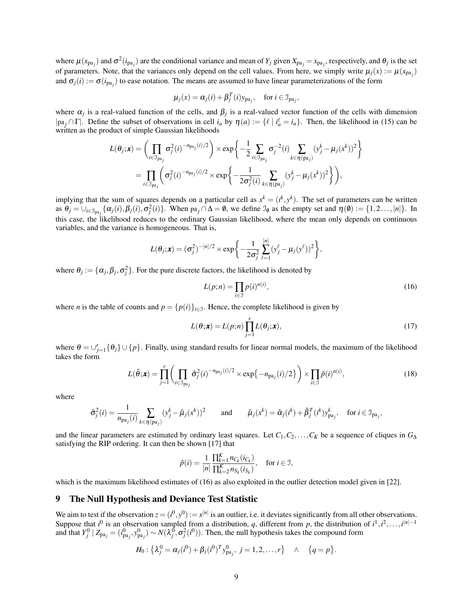where  $\mu(x_{pa_j})$  and  $\sigma^2(i_{pa_j})$  are the conditional variance and mean of  $Y_j$  given  $X_{pa_j} = x_{pa_j}$ , respectively, and  $\theta_j$  is the set of parameters. Note, that the variances only depend on the cell values. From here, we simply write  $\mu_j(x) := \mu(x_{pa_j})$ and  $\sigma_j(i) := \sigma(i_{pa_j})$  to ease notation. The means are assumed to have linear parameterizations of the form

$$
\mu_j(x) = \alpha_j(i) + \beta_j^T(i)y_{pa_j}, \quad \text{for } i \in \mathcal{I}_{pa_j},
$$

where  $\alpha_j$  is a real-valued function of the cells, and  $\beta_j$  is a real-valued vector function of the cells with dimension  $|pa_j \cap \Gamma|$ . Define the subset of observations in cell  $i_a$  by  $\eta(a) := \{ \ell \mid i_a^{\ell} = i_a \}$ . Then, the likelihood in [\(15\)](#page-7-2) can be written as the product of simple Gaussian likelihoods

$$
L(\theta_j; \mathbf{x}) = \left( \prod_{i \in \mathcal{I}_{\text{pa}_j}} \sigma_j^2(i)^{-n_{\text{pa}_j}(i)/2} \right) \times \exp \left\{ -\frac{1}{2} \sum_{i \in \mathcal{I}_{\text{pa}_j}} \sigma_j^{-2}(i) \sum_{k \in \eta(\text{pa}_j)} (y_j^k - \mu_j(x^k))^2 \right\}
$$
  
= 
$$
\prod_{i \in \mathcal{I}_{\text{pa}_j}} \left( \sigma_j^2(i)^{-n_{\text{pa}_j}(i)/2} \times \exp \left\{ -\frac{1}{2\sigma_j^2(i)} \sum_{k \in \eta(\text{pa}_j)} (y_j^k - \mu_j(x^k))^2 \right\} \right),
$$

implying that the sum of squares depends on a particular cell as  $x^k = (i^k, y^k)$ . The set of parameters can be written as  $\theta_j = \bigcup_{i \in \mathcal{I}_{pa_j}} {\{\alpha_j(i), \beta_j(i), \sigma_j^2(i)\}}$ . When  $pa_j \cap \Delta = \emptyset$ , we define  $\mathcal{I}_{\emptyset}$  as the empty set and  $\eta(\emptyset) := \{1, 2, ..., |n|\}$ . In this case, the likelihood reduces to the ordinary Gaussian likelihood, where the mean only depends on continuous variables, and the variance is homogeneous. That is,

$$
L(\theta_j; \mathbf{x}) = (\sigma_j^2)^{-|n|/2} \times \exp \bigg\{-\frac{1}{2\sigma_j^2} \sum_{\ell=1}^{|n|} (y_j^{\ell} - \mu_j(y^{\ell}))^2 \bigg\},
$$

where  $\theta_j := {\alpha_j, \beta_j, \sigma_j^2}$ . For the pure discrete factors, the likelihood is denoted by

$$
L(p;n) = \prod_{i \in \mathcal{I}} p(i)^{n(i)},
$$
\n(16)

where *n* is the table of counts and  $p = {p(i)}_{i \in J}$ . Hence, the complete likelihood is given by

$$
L(\theta; \mathbf{x}) = L(p; n) \prod_{j=1}^{r} L(\theta_j; \mathbf{x}),
$$
\n(17)

<span id="page-8-2"></span><span id="page-8-1"></span>,

where  $\theta = \bigcup_{j=1}^r {\theta_j} \cup \{p\}$ . Finally, using standard results for linear normal models, the maximum of the likelihood takes the form

$$
L(\hat{\boldsymbol{\theta}};\boldsymbol{x}) = \prod_{j=1}^r \left( \prod_{i \in \mathcal{I}_{pa_j}} \hat{\sigma}_j^2(i)^{-n_{pa_j}(i)/2} \times \exp\{-n_{pa_j}(i)/2\} \right) \times \prod_{i \in \mathcal{I}} \hat{p}(i)^{n(i)},\tag{18}
$$

where

$$
\hat{\sigma}_j^2(i) = \frac{1}{n_{\text{pa}_j}(i)} \sum_{k \in \eta(\text{pa}_j)} (y_j^k - \hat{\mu}_j(x^k))^2 \quad \text{and} \quad \hat{\mu}_j(x^k) = \hat{\alpha}_j(i^k) + \hat{\beta}_j^T(i^k) y_{\text{pa}_j}^k, \quad \text{for } i \in \mathcal{I}_{\text{pa}_j}
$$

and the linear parameters are estimated by ordinary least squares. Let  $C_1, C_2, \ldots, C_K$  be a sequence of cliques in  $G_\Delta$ satisfying the RIP ordering. It can then be shown [\[17\]](#page-17-7) that

$$
\hat{p}(i) = \frac{1}{|n|} \frac{\prod_{k=1}^{K} n_{C_k}(i_{C_k})}{\prod_{k=2}^{K} n_{S_k}(i_{S_k})}, \quad \text{ for } i \in \mathcal{I},
$$

which is the maximum likelihood estimates of [\(16\)](#page-8-1) as also exploited in the outlier detection model given in [\[22\]](#page-17-1).

# <span id="page-8-0"></span>9 The Null Hypothesis and Deviance Test Statistic

We aim to test if the observation  $z = (i^0, y^0) := x^{|n|}$  is an outlier, i.e. it deviates significantly from all other observations. Suppose that  $i^0$  is an observation sampled from a distribution, *q*, different from *p*, the distribution of  $i^1, i^2, \ldots, i^{|n|-1}$ and that  $Y_j^0 | Z_{pa_j} = (i_{pa_j}^0, y_{pa_j}^0) \sim N(\lambda_j^0, \sigma_j^2(i^0))$ . Then, the null hypothesis takes the compound form

$$
H_0: \{\lambda_j^0 = \alpha_j(i^0) + \beta_j(i^0)^T y_{\text{pa}_j}^0, \ j = 1, 2, \dots, r\} \quad \wedge \quad \{q = p\}.
$$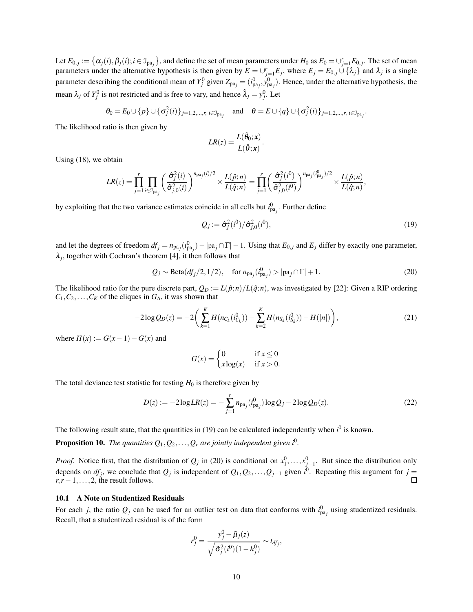Let  $E_{0,j} := \left\{ \alpha_j(i), \beta_j(i); i \in \mathcal{I}_{pa_j} \right\}$ , and define the set of mean parameters under  $H_0$  as  $E_0 = \cup_{j=1}^r E_{0,j}$ . The set of mean parameters under the alternative hypothesis is then given by  $E = \bigcup_{j=1}^{r} E_j$ , where  $E_j = E_{0,j} \cup \{\lambda_j\}$  and  $\lambda_j$  is a single parameter describing the conditional mean of  $Y_j^0$  given  $Z_{pa_j} = (i_{pa_j}^0, y_{pa_j}^0)$ . Hence, under the alternative hypothesis, the mean  $\lambda_j$  of  $Y_j^0$  is not restricted and is free to vary, and hence  $\hat{\lambda}_j = y_j^0$ . Let

$$
\theta_0 = E_0 \cup \{p\} \cup \{\sigma_j^2(i)\}_{j=1,2,\dots,r,\ i \in \mathcal{I}_{\text{pa}_j}} \quad \text{and} \quad \theta = E \cup \{q\} \cup \{\sigma_j^2(i)\}_{j=1,2,\dots,r,\ i \in \mathcal{I}_{\text{pa}_j}}.
$$

The likelihood ratio is then given by

$$
LR(z) = \frac{L(\hat{\theta}_0; \mathbf{x})}{L(\hat{\theta}; \mathbf{x})}.
$$

Using [\(18\)](#page-8-2), we obtain

$$
LR(z) = \prod_{j=1}^r \prod_{i \in \mathcal{I}_{pa_j}} \left( \frac{\hat{\sigma}_j^2(i)}{\hat{\sigma}_{j,0}^2(i)} \right)^{n_{pa_j}(i)/2} \times \frac{L(\hat{p};n)}{L(\hat{q};n)} = \prod_{j=1}^r \left( \frac{\hat{\sigma}_j^2(i^0)}{\hat{\sigma}_{j,0}^2(i^0)} \right)^{n_{pa_j}(i_{pa_j}^0)/2} \times \frac{L(\hat{p};n)}{L(\hat{q};n)},
$$

by exploiting that the two variance estimates coincide in all cells but  $i_{pa_j}^0$ . Further define

<span id="page-9-1"></span><span id="page-9-0"></span>
$$
Q_j := \hat{\sigma}_j^2(i^0)/\hat{\sigma}_{j,0}^2(i^0),\tag{19}
$$

and let the degrees of freedom  $df_j = n_{pa_j}(i_{pa_j}^0) - |pa_j \cap \Gamma| - 1$ . Using that  $E_{0,j}$  and  $E_j$  differ by exactly one parameter,  $\lambda_j$ , together with Cochran's theorem [\[4\]](#page-16-4), it then follows that

$$
Q_j \sim \text{Beta}(df_j/2, 1/2), \quad \text{for } n_{\text{pa}_j}(i_{\text{pa}_j}^0) > |\text{pa}_j \cap \Gamma| + 1.
$$
 (20)

The likelihood ratio for the pure discrete part,  $Q_D := L(\hat{p}; n)/L(\hat{q}; n)$ , was investigated by [\[22\]](#page-17-1): Given a RIP ordering  $C_1, C_2, \ldots, C_K$  of the cliques in  $G_{\Delta}$ , it was shown that

$$
-2\log Q_D(z) = -2\bigg(\sum_{k=1}^K H(n_{C_k}(i_{C_k}^0)) - \sum_{k=2}^K H(n_{S_k}(i_{S_k}^0)) - H(|n|)\bigg),\tag{21}
$$

where  $H(x) := G(x-1) - G(x)$  and

<span id="page-9-5"></span><span id="page-9-2"></span>
$$
G(x) = \begin{cases} 0 & \text{if } x \le 0\\ x \log(x) & \text{if } x > 0. \end{cases}
$$

The total deviance test statistic for testing  $H_0$  is therefore given by

$$
D(z) := -2\log LR(z) = -\sum_{j=1}^{r} n_{pa_j}(i_{pa_j}^0) \log Q_j - 2\log Q_D(z). \tag{22}
$$

The following result state, that the quantities in  $(19)$  can be calculated independently when  $i^0$  is known.

<span id="page-9-4"></span>**Proposition 10.** The quantities  $Q_1, Q_2, \ldots, Q_r$  are jointly independent given  $i^0$ .

*Proof.* Notice first, that the distribution of  $Q_j$  in [\(20\)](#page-9-1) is conditional on  $x_1^0, \ldots, x_{j-1}^0$ . But since the distribution only depends on  $df_j$ , we conclude that  $Q_j$  is independent of  $Q_1, Q_2, \ldots, Q_{j-1}$  given  $i^0$ . Repeating this argument for  $j =$  $r, r-1, \ldots, 2$ , the result follows.  $\Box$ 

#### <span id="page-9-3"></span>10.1 A Note on Studentized Residuals

For each *j*, the ratio  $Q_j$  can be used for an outlier test on data that conforms with  $i_{pa_j}^0$  using studentized residuals. Recall, that a studentized residual is of the form

$$
r_j^0 = \frac{y_j^0 - \tilde{\mu}_j(z)}{\sqrt{\tilde{\sigma}_j^2(i^0)(1 - h_j^0)}} \sim t_{df_j},
$$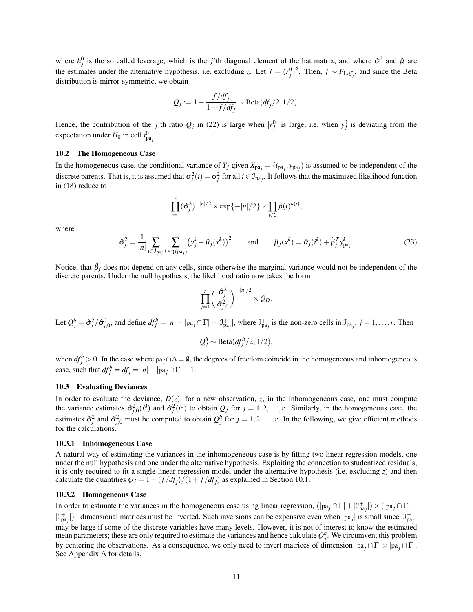where  $h_j^0$  is the so called leverage, which is the *j*'th diagonal element of the hat matrix, and where  $\tilde{\sigma}^2$  and  $\tilde{\mu}$  are the estimates under the alternative hypothesis, i.e. excluding *z*. Let  $f = (r_j^0)^2$ . Then,  $f \sim F_{1, df_j}$ , and since the Beta distribution is mirror-symmetric, we obtain

$$
Q_j := 1 - \frac{f/df_j}{1 + f/df_j} \sim \text{Beta}(df_j/2, 1/2).
$$

Hence, the contribution of the *j*'th ratio  $Q_j$  in [\(22\)](#page-9-2) is large when  $|r_j^0|$  is large, i.e. when  $y_j^0$  is deviating from the expectation under  $H_0$  in cell  $i_{pa_j}^0$ .

#### <span id="page-10-0"></span>10.2 The Homogeneous Case

In the homogeneous case, the conditional variance of  $Y_j$  given  $X_{pa_j} = (i_{pa_j}, y_{pa_j})$  is assumed to be independent of the discrete parents. That is, it is assumed that  $\sigma_j^2(i) = \sigma_j^2$  for all  $i \in \mathcal{I}_{pa_j}$ . It follows that the maximized likelihood function in [\(18\)](#page-8-2) reduce to

$$
\prod_{j=1}^r (\hat{\sigma}_j^2)^{-|n|/2} \times \exp\{-|n|/2\} \times \prod_{i \in \mathcal{I}} \hat{p}(i)^{n(i)},
$$

<span id="page-10-1"></span>where

$$
\hat{\sigma}_j^2 = \frac{1}{|n|} \sum_{i \in \mathcal{I}_{\text{pa}_j}} \sum_{k \in \eta(\text{pa}_j)} \left( y_j^k - \hat{\mu}_j(x^k) \right)^2 \quad \text{and} \quad \hat{\mu}_j(x^k) = \hat{\alpha}_j(i^k) + \hat{\beta}_j^T y_{\text{pa}_j}^k. \tag{23}
$$

Notice, that  $\hat{\beta}_j$  does not depend on any cells, since otherwise the marginal variance would not be independent of the discrete parents. Under the null hypothesis, the likelihood ratio now takes the form

$$
\prod_{j=1}^r \left(\frac{\hat{\sigma}_j^2}{\hat{\sigma}_{j,0}^2}\right)^{-|n|/2} \times Q_D.
$$

Let  $Q_j^h = \hat{\sigma}_j^2 / \hat{\sigma}_{j,0}^2$ , and define  $df_j^h = |n| - |\text{pa}_j \cap \Gamma| - |\mathcal{I}_{\text{pa}_j}^+|$ , where  $\mathcal{I}_{\text{pa}_j}^+$  is the non-zero cells in  $\mathcal{I}_{\text{pa}_j}$ ,  $j = 1, \dots, r$ . Then

$$
Q_j^h \sim \text{Beta}(df_j^h/2, 1/2),
$$

when  $df_j^h > 0$ . In the case where pa<sub>j</sub> ∩ $\Delta = \emptyset$ , the degrees of freedom coincide in the homogeneous and inhomogeneous case, such that  $df_j^h = df_j = |n| - |pa_j \cap \Gamma| - 1$ .

# 10.3 Evaluating Deviances

In order to evaluate the deviance,  $D(z)$ , for a new observation, *z*, in the inhomogeneous case, one must compute the variance estimates  $\hat{\sigma}_{j,0}^2(i^0)$  and  $\hat{\sigma}_j^2(i^0)$  to obtain  $Q_j$  for  $j = 1, 2, ..., r$ . Similarly, in the homogeneous case, the estimates  $\hat{\sigma}_j^2$  and  $\hat{\sigma}_{j,0}^2$  must be computed to obtain  $Q_j^h$  for  $j = 1,2,\ldots,r$ . In the following, we give efficient methods for the calculations.

#### 10.3.1 Inhomogeneous Case

A natural way of estimating the variances in the inhomogeneous case is by fitting two linear regression models, one under the null hypothesis and one under the alternative hypothesis. Exploiting the connection to studentized residuals, it is only required to fit a single linear regression model under the alternative hypothesis (i.e. excluding *z*) and then calculate the quantities  $Q_j = 1 - (f/df_j)/(1 + f/df_j)$  as explained in Section [10.1.](#page-9-3)

#### 10.3.2 Homogeneous Case

In order to estimate the variances in the homogeneous case using linear regression,  $(|pa_j \cap \Gamma| + |\mathcal{I}_{pa_j}^+|) \times (|pa_j \cap \Gamma| + |\mathcal{I}_{pa_j}^+|)$  $|J_{pa_j}^+|$ )–dimensional matrices must be inverted. Such inversions can be expensive even when  $|pa_j|$  is small since  $|J_{pa_j}^+|$ may be large if some of the discrete variables have many levels. However, it is not of interest to know the estimated mean parameters; these are only required to estimate the variances and hence calculate  $Q_j^h$ . We circumvent this problem by centering the observations. As a consequence, we only need to invert matrices of dimension |pa *<sup>j</sup>* ∩Γ| × |pa *<sup>j</sup>* ∩Γ|. See Appendix [A](#page-15-0) for details.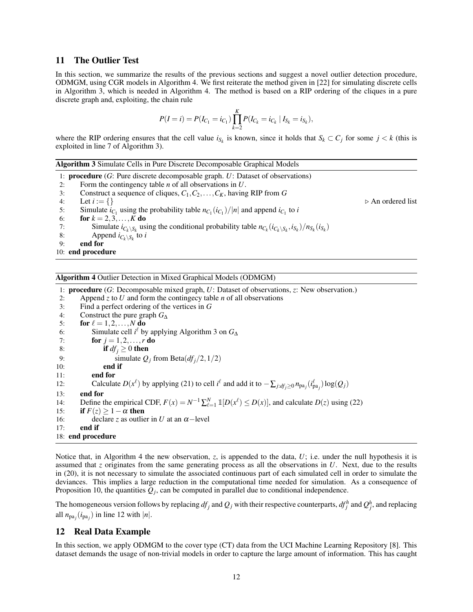# <span id="page-11-0"></span>11 The Outlier Test

In this section, we summarize the results of the previous sections and suggest a novel outlier detection procedure, ODMGM, using CGR models in Algorithm [4.](#page-11-2) We first reiterate the method given in [\[22\]](#page-17-1) for simulating discrete cells in Algorithm [3,](#page-11-3) which is needed in Algorithm [4.](#page-11-2) The method is based on a RIP ordering of the cliques in a pure discrete graph and, exploiting, the chain rule

$$
P(I = i) = P(I_{C_1} = i_{C_1}) \prod_{k=2}^{K} P(I_{C_k} = i_{C_k} | I_{S_k} = i_{S_k}),
$$

where the RIP ordering ensures that the cell value  $i_{S_k}$  is known, since it holds that  $S_k \subset C_j$  for some  $j < k$  (this is exploited in line [7](#page-11-3) of Algorithm [3\)](#page-11-3).

<span id="page-11-3"></span>

|    | <b>Algorithm 3</b> Simulate Cells in Pure Discrete Decomposable Graphical Models                                                    |                                  |
|----|-------------------------------------------------------------------------------------------------------------------------------------|----------------------------------|
|    | 1: <b>procedure</b> $(G:$ Pure discrete decomposable graph. $U:$ Dataset of observations)                                           |                                  |
| 2: | Form the contingency table $n$ of all observations in $U$ .                                                                         |                                  |
| 3: | Construct a sequence of cliques, $C_1, C_2, \ldots, C_K$ , having RIP from G                                                        |                                  |
| 4: | Let $i := \{\}\$                                                                                                                    | $\triangleright$ An ordered list |
| 5: | Simulate $i_{C_1}$ using the probability table $n_{C_1}(i_{C_1})/ n $ and append $i_{C_1}$ to i                                     |                                  |
| 6: | for $k = 2, 3, , K$ do                                                                                                              |                                  |
| 7: | Simulate $i_{C_k \setminus S_k}$ using the conditional probability table $n_{C_k}(i_{C_k \setminus S_k}, i_{S_k})/n_{S_k}(i_{S_k})$ |                                  |
| 8: | Append $i_{C_k \setminus S_k}$ to i                                                                                                 |                                  |
| 9: | end for                                                                                                                             |                                  |
|    | 10: end procedure                                                                                                                   |                                  |
|    |                                                                                                                                     |                                  |

<span id="page-11-2"></span>Algorithm 4 Outlier Detection in Mixed Graphical Models (ODMGM)

1: procedure (*G*: Decomposable mixed graph, *U*: Dataset of observations, *z*: New observation.) 2: Append *z* to *U* and form the contingecy table *n* of all observations 3: Find a perfect ordering of the vertices in *G* 4: Construct the pure graph  $G_{\Delta}$ <br>5: **for**  $\ell = 1, 2, ..., N$  **do** for  $\ell = 1, 2, \ldots, N$  do 6: Simulate cell *i*<sup> $\ell$ </sup> by applying Algorithm [3](#page-11-3) on  $G_{\Delta}$ 7: **for**  $j = 1, 2, ..., r$  **do** 8: **if**  $df_i \ge 0$  **then** 9: simulate  $Q_j$  from Beta $(df_j/2, 1/2)$ <br>10: **end if** end if 11: end for 12: Calculate  $D(x^{\ell})$  by applying [\(21\)](#page-9-5) to cell  $i^{\ell}$  and add it to  $-\sum_{j:d f_j \ge 0} n_{pa_j}(i^{\ell}_{pa_j}) \log(Q_j)$ 13: end for 14: Define the empirical CDF,  $F(x) = N^{-1} \sum_{\ell=1}^{N} \mathbb{1}[D(x^{\ell}) \leq D(x)]$ , and calculate  $D(z)$  using [\(22\)](#page-9-2) 15: **if**  $F(z) \geq 1 - \alpha$  then 16: declare *z* as outlier in *U* at an  $\alpha$ -level 17: end if 18: end procedure

Notice that, in Algorithm [4](#page-11-2) the new observation, *z*, is appended to the data, *U*; i.e. under the null hypothesis it is assumed that *z* originates from the same generating process as all the observations in *U*. Next, due to the results in [\(20\)](#page-9-1), it is not necessary to simulate the associated continuous part of each simulated cell in order to simulate the deviances. This implies a large reduction in the computational time needed for simulation. As a consequence of Proposition [10,](#page-9-4) the quantities  $Q_j$ , can be computed in parallel due to conditional independence.

The homogeneous version follows by replacing  $df_j$  and  $Q_j$  with their respective counterparts,  $df_j^h$  and  $Q_j^h$ , and replacing all  $n_{pa_j}(i_{pa_j})$  in line [12](#page-11-2) with  $|n|$ .

# <span id="page-11-1"></span>12 Real Data Example

In this section, we apply ODMGM to the cover type (CT) data from the UCI Machine Learning Repository [\[8\]](#page-16-5). This dataset demands the usage of non-trivial models in order to capture the large amount of information. This has caught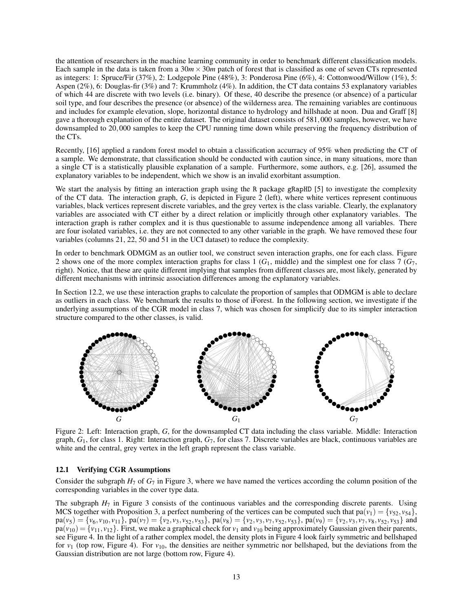the attention of researchers in the machine learning community in order to benchmark different classification models. Each sample in the data is taken from a  $30m \times 30m$  patch of forest that is classified as one of seven CTs represented as integers: 1: Spruce/Fir (37%), 2: Lodgepole Pine (48%), 3: Ponderosa Pine (6%), 4: Cottonwood/Willow (1%), 5: Aspen (2%), 6: Douglas-fir (3%) and 7: Krummholz (4%). In addition, the CT data contains 53 explanatory variables of which 44 are discrete with two levels (i.e. binary). Of these, 40 describe the presence (or absence) of a particular soil type, and four describes the presence (or absence) of the wilderness area. The remaining variables are continuous and includes for example elevation, slope, horizontal distance to hydrology and hillshade at noon. Dua and Graff [\[8\]](#page-16-5) gave a thorough explanation of the entire dataset. The original dataset consists of 581,000 samples, however, we have downsampled to 20,000 samples to keep the CPU running time down while preserving the frequency distribution of the CTs.

Recently, [\[16\]](#page-17-12) applied a random forest model to obtain a classification accurracy of 95% when predicting the CT of a sample. We demonstrate, that classification should be conducted with caution since, in many situations, more than a single CT is a statistically plausible explanation of a sample. Furthermore, some authors, e.g. [\[26\]](#page-17-13), assumed the explanatory variables to be independent, which we show is an invalid exorbitant assumption.

We start the analysis by fitting an interaction graph using the R package gRapHD [\[5\]](#page-16-6) to investigate the complexity of the CT data. The interaction graph, *G*, is depicted in Figure [2](#page-12-0) (left), where white vertices represent continuous variables, black vertices represent discrete variables, and the grey vertex is the class variable. Clearly, the explanatory variables are associated with CT either by a direct relation or implicitly through other explanatory variables. The interaction graph is rather complex and it is thus questionable to assume independence among all variables. There are four isolated variables, i.e. they are not connected to any other variable in the graph. We have removed these four variables (columns 21, 22, 50 and 51 in the UCI dataset) to reduce the complexity.

In order to benchmark ODMGM as an outlier tool, we construct seven interaction graphs, one for each class. Figure [2](#page-12-0) shows one of the more complex interaction graphs for class 1 (*G*1, middle) and the simplest one for class 7 (*G*7, right). Notice, that these are quite different implying that samples from different classes are, most likely, generated by different mechanisms with intrinsic association differences among the explanatory variables.

In Section [12.2,](#page-13-0) we use these interaction graphs to calculate the proportion of samples that ODMGM is able to declare as outliers in each class. We benchmark the results to those of iForest. In the following section, we investigate if the underlying assumptions of the CGR model in class 7, which was chosen for simplicify due to its simpler interaction structure compared to the other classes, is valid.

<span id="page-12-0"></span>

Figure 2: Left: Interaction graph, *G*, for the downsampled CT data including the class variable. Middle: Interaction graph, *G*1, for class 1. Right: Interaction graph, *G*7, for class 7. Discrete variables are black, continuous variables are white and the central, grey vertex in the left graph represent the class variable.

#### 12.1 Verifying CGR Assumptions

Consider the subgraph  $H_7$  of  $G_7$  in Figure [3,](#page-13-1) where we have named the vertices according the column position of the corresponding variables in the cover type data.

The subgraph  $H_7$  in Figure [3](#page-13-1) consists of the continuous variables and the corresponding discrete parents. Using MCS together with Proposition [3,](#page-2-4) a perfect numbering of the vertices can be computed such that  $pa(v_1) = \{v_5, v_{54}\},\$  $pa(v_5) = \{v_6, v_{10}, v_{11}\}\$ ,  $pa(v_7) = \{v_2, v_3, v_{52}, v_{53}\}\$ ,  $pa(v_8) = \{v_2, v_3, v_7, v_{52}, v_{53}\}\$ ,  $pa(v_9) = \{v_2, v_3, v_7, v_8, v_{52}, v_{53}\}\$  and  $pa(v_{10}) = \{v_{11}, v_{12}\}\.$  First, we make a graphical check for  $v_1$  and  $v_{10}$  being approximately Gaussian given their parents, see Figure [4.](#page-13-2) In the light of a rather complex model, the density plots in Figure [4](#page-13-2) look fairly symmetric and bellshaped for  $v_1$  (top row, Figure [4\)](#page-13-2). For  $v_{10}$ , the densities are neither symmetric nor bellshaped, but the deviations from the Gaussian distribution are not large (bottom row, Figure [4\)](#page-13-2).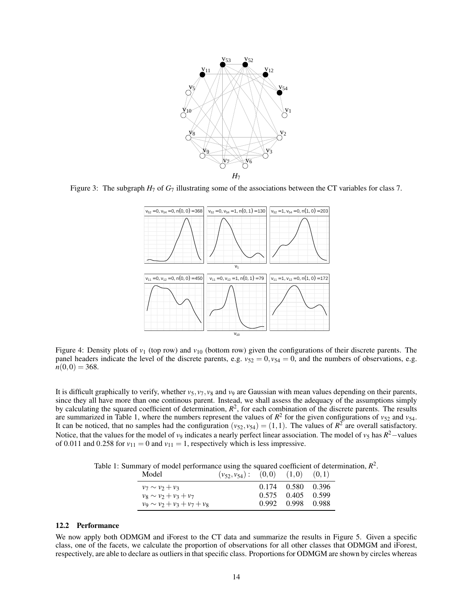<span id="page-13-1"></span>

<span id="page-13-2"></span>Figure 3: The subgraph  $H_7$  of  $G_7$  illustrating some of the associations between the CT variables for class 7.



Figure 4: Density plots of  $v_1$  (top row) and  $v_{10}$  (bottom row) given the configurations of their discrete parents. The panel headers indicate the level of the discrete parents, e.g.  $v_{52} = 0$ ,  $v_{54} = 0$ , and the numbers of observations, e.g.  $n(0,0) = 368.$ 

It is difficult graphically to verify, whether  $v_5$ ,  $v_7$ ,  $v_8$  and  $v_9$  are Gaussian with mean values depending on their parents, since they all have more than one continous parent. Instead, we shall assess the adequacy of the assumptions simply by calculating the squared coefficient of determination,  $R^2$ , for each combination of the discrete parents. The results are summarized in Table [1,](#page-13-3) where the numbers represent the values of  $R^2$  for the given configurations of  $v_{52}$  and  $v_{54}$ . It can be noticed, that no samples had the configuration  $(v_{52}, v_{54}) = (1,1)$ . The values of  $R^2$  are overall satisfactory. Notice, that the values for the model of *v*<sub>9</sub> indicates a nearly perfect linear association. The model of *v*<sub>5</sub> has  $R^2$ —values of 0.011 and 0.258 for  $v_{11} = 0$  and  $v_{11} = 1$ , respectively which is less impressive.

<span id="page-13-3"></span>Table 1: Summary of model performance using the squared coefficient of determination,  $R^2$ .

| Model                            | $(v_{52}, v_{54})$ : | (0,0) | (1,0)       | (0,1)   |
|----------------------------------|----------------------|-------|-------------|---------|
| $v_7 \sim v_2 + v_3$             |                      |       | 0.174 0.580 | - 0.396 |
| $v_8 \sim v_2 + v_3 + v_7$       |                      | 0.575 | 0.405       | 0.599   |
| $v_9 \sim v_2 + v_3 + v_7 + v_8$ |                      | 0.992 | 0.998       | - 0.988 |

#### <span id="page-13-0"></span>12.2 Performance

We now apply both ODMGM and iForest to the CT data and summarize the results in Figure [5.](#page-14-0) Given a specific class, one of the facets, we calculate the proportion of observations for all other classes that ODMGM and iForest, respectively, are able to declare as outliers in that specific class. Proportions for ODMGM are shown by circles whereas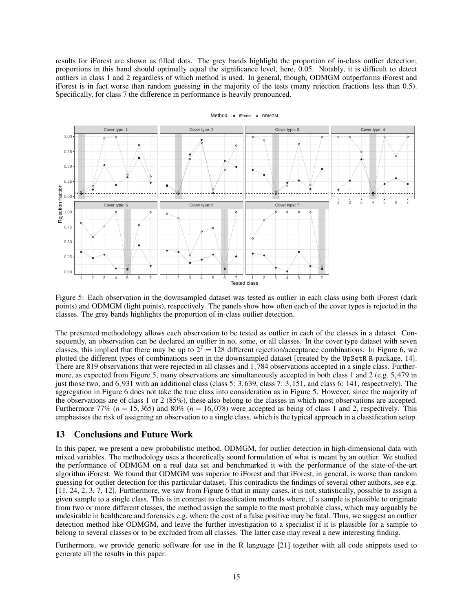results for iForest are shown as filled dots. The grey bands highlight the proportion of in-class outlier detection; proportions in this band should optimally equal the significance level, here, 0.05. Notably, it is difficult to detect outliers in class 1 and 2 regardless of which method is used. In general, though, ODMGM outperforms iForest and iForest is in fact worse than random guessing in the majority of the tests (many rejection fractions less than 0.5). Specifically, for class 7 the difference in performance is heavily pronounced.

<span id="page-14-0"></span>

#### Method: ● iForest ● ODMGM

Figure 5: Each observation in the downsampled dataset was tested as outlier in each class using both iForest (dark points) and ODMGM (light points), respectively. The panels show how often each of the cover types is rejected in the classes. The grey bands highlights the proportion of in-class outlier detection.

The presented methodology allows each observation to be tested as outlier in each of the classes in a dataset. Consequently, an observation can be declared an outlier in no, some, or all classes. In the cover type dataset with seven classes, this implied that there may be up to  $2^7 = 128$  different rejection/acceptance combinations. In Figure [6,](#page-15-1) we plotted the different types of combinations seen in the downsampled dataset [created by the UpSetR R-package, [14\]](#page-17-14). There are 819 observations that were rejected in all classes and 1,784 observations accepted in a single class. Furthermore, as expected from Figure [5,](#page-14-0) many observations are simultaneously accepted in both class 1 and 2 (e.g. 5,479 in just those two, and 6,931 with an additional class (class 5: 3,639, class 7: 3,151, and class 6: 141, respectively). The aggregation in Figure [6](#page-15-1) does not take the true class into consideration as in Figure [5.](#page-14-0) However, since the majority of the observations are of class 1 or 2 (85%), these also belong to the classes in which most observations are accepted. Furthermore 77% ( $n = 15,365$ ) and 80% ( $n = 16,078$ ) were accepted as being of class 1 and 2, respectively. This emphasises the risk of assigning an observation to a single class, which is the typical approach in a classification setup.

# 13 Conclusions and Future Work

In this paper, we present a new probabilistic method, ODMGM, for outlier detection in high-dimensional data with mixed variables. The methodology uses a theoretically sound formulation of what is meant by an outlier. We studied the performance of ODMGM on a real data set and benchmarked it with the performance of the state-of-the-art algorithm iForest. We found that ODMGM was superior to iForest and that iForest, in general, is worse than random guessing for outlier detection for this particular dataset. This contradicts the findings of several other authors, see e.g. [\[11,](#page-17-4) [24,](#page-17-5) [2,](#page-16-0) [3,](#page-16-1) [7,](#page-16-2) [12\]](#page-17-6). Furthermore, we saw from Figure [6](#page-15-1) that in many cases, it is not, statistically, possible to assign a given sample to a single class. This is in contrast to classification methods where, if a sample is plausible to originate from two or more different classes, the method assign the sample to the most probable class, which may arguably be undesirable in healthcare and forensics e.g. where the cost of a false positive may be fatal. Thus, we suggest an outlier detection method like ODMGM, and leave the further investigation to a specialist if it is plausible for a sample to belong to several classes or to be excluded from all classes. The latter case may reveal a new interesting finding.

Furthermore, we provide generic software for use in the R language [\[21\]](#page-17-8) together with all code snippets used to generate all the results in this paper.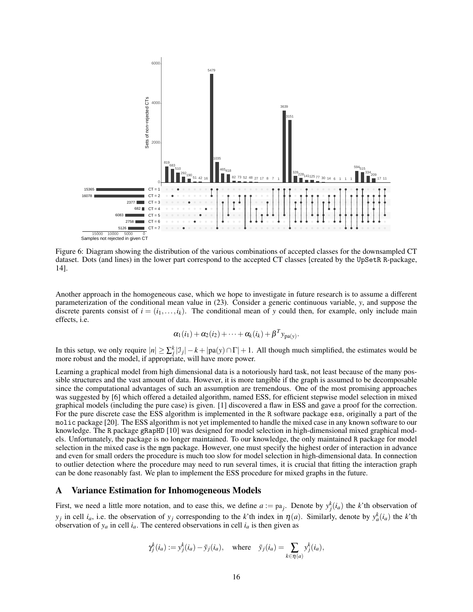<span id="page-15-1"></span>

Figure 6: Diagram showing the distribution of the various combinations of accepted classes for the downsampled CT dataset. Dots (and lines) in the lower part correspond to the accepted CT classes [created by the UpSetR R-package, [14\]](#page-17-14).

Another approach in the homogeneous case, which we hope to investigate in future research is to assume a different parameterization of the conditional mean value in [\(23\)](#page-10-1). Consider a generic continuous variable, *y*, and suppose the discrete parents consist of  $i = (i_1, \ldots, i_k)$ . The conditional mean of y could then, for example, only include main effects, i.e.

$$
\alpha_1(i_1) + \alpha_2(i_2) + \cdots + \alpha_k(i_k) + \beta^T y_{\text{pa}(y)}.
$$

In this setup, we only require  $|n| \ge \sum_{j=1}^{k} |J_j| - k + |pa(y) \cap \Gamma| + 1$ . All though much simplified, the estimates would be more robust and the model, if appropriate, will have more power.

Learning a graphical model from high dimensional data is a notoriously hard task, not least because of the many possible structures and the vast amount of data. However, it is more tangible if the graph is assumed to be decomposable since the computational advantages of such an assumption are tremendous. One of the most promising approaches was suggested by [\[6\]](#page-16-7) which offered a detailed algorithm, named ESS, for efficient stepwise model selection in mixed graphical models (including the pure case) is given. [\[1\]](#page-16-8) discovered a flaw in ESS and gave a proof for the correction. For the pure discrete case the ESS algorithm is implemented in the R software package ess, originally a part of the molic package [\[20\]](#page-17-15). The ESS algorithm is not yet implemented to handle the mixed case in any known software to our knowledge. The R package gRapHD [\[10\]](#page-16-9) was designed for model selection in high-dimensional mixed graphical models. Unfortunately, the package is no longer maintained. To our knowledge, the only maintained R package for model selection in the mixed case is the mgm package. However, one must specify the highest order of interaction in advance and even for small orders the procedure is much too slow for model selection in high-dimensional data. In connection to outlier detection where the procedure may need to run several times, it is crucial that fitting the interaction graph can be done reasonably fast. We plan to implement the ESS procedure for mixed graphs in the future.

# <span id="page-15-0"></span>A Variance Estimation for Inhomogeneous Models

First, we need a little more notation, and to ease this, we define  $a := pa_j$ . Denote by  $y_j^k(i_a)$  the *k*'th observation of *y*<sub>*j*</sub> in cell *i<sub>a</sub>*, i.e. the observation of *y<sub>j</sub>* corresponding to the *k*'th index in  $\eta$ (*a*). Similarly, denote by  $y_a^k(i_a)$  the *k*'th observation of  $y_a$  in cell  $i_a$ . The centered observations in cell  $i_a$  is then given as

$$
\gamma_j^k(i_a) := y_j^k(i_a) - \bar{y}_j(i_a),
$$
 where  $\bar{y}_j(i_a) = \sum_{k \in \eta(a)} y_j^k(i_a),$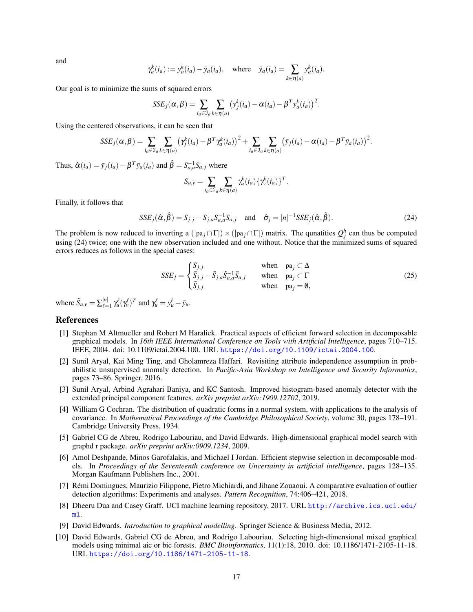and

$$
\gamma_a^k(i_a) := y_a^k(i_a) - \bar{y}_a(i_a),
$$
 where  $\bar{y}_a(i_a) = \sum_{k \in \eta(a)} y_a^k(i_a).$ 

Our goal is to minimize the sums of squared errors

$$
SSE_j(\alpha, \beta) = \sum_{i_a \in \mathcal{I}_a} \sum_{k \in \eta(a)} (y_j^k(i_a) - \alpha(i_a) - \beta^T y_a^k(i_a))^2.
$$

Using the centered observations, it can be seen that

$$
SSE_j(\alpha, \beta) = \sum_{i_a \in \mathcal{I}_a} \sum_{k \in \eta(a)} (\gamma_j^k(i_a) - \beta^T \gamma_a^k(i_a))^2 + \sum_{i_a \in \mathcal{I}_a} \sum_{k \in \eta(a)} (\bar{\mathbf{y}}_j(i_a) - \alpha(i_a) - \beta^T \bar{\mathbf{y}}_a(i_a))^2.
$$

Thus,  $\hat{\alpha}(i_a) = \bar{y}_j(i_a) - \beta^T \bar{y}_a(i_a)$  and  $\hat{\beta} = S_{a,a}^{-1} S_{a,j}$  where

<span id="page-16-10"></span>
$$
S_{u,v} = \sum_{i_a \in \mathcal{I}_a} \sum_{k \in \eta(a)} \gamma_u^k(i_a) \{ \gamma_v^k(i_a) \}^T.
$$

Finally, it follows that

$$
SSE_j(\hat{\alpha}, \hat{\beta}) = S_{j,j} - S_{j,a} S_{a,a}^{-1} S_{a,j} \quad \text{and} \quad \hat{\sigma}_j = |n|^{-1} SSE_j(\hat{\alpha}, \hat{\beta}). \tag{24}
$$

The problem is now reduced to inverting a  $(|pa_j \cap \Gamma|) \times (|pa_j \cap \Gamma|)$  matrix. The qunatities  $Q_j^h$  can thus be computed using [\(24\)](#page-16-10) twice; one with the new observation included and one without. Notice that the minimized sums of squared errors reduces as follows in the special cases:

$$
SSE_j = \begin{cases} S_{j,j} & \text{when } pa_j \subset \Delta \\ \tilde{S}_{j,j} - \tilde{S}_{j,a} \tilde{S}_{a,a}^{-1} \tilde{S}_{a,j} & \text{when } pa_j \subset \Gamma \\ \tilde{S}_{j,j} & \text{when } pa_j = \emptyset, \end{cases}
$$
 (25)

where  $\tilde{S}_{u,v} = \sum_{\ell=1}^{|n|}$  $\gamma_{\mu}^{[n]}$   $\gamma_{\mu}^{\ell}(\gamma_{\nu}^{\ell})^T$  and  $\gamma_{\mu}^{\ell} = y_{\mu}^{\ell} - \bar{y}_{\mu}$ .

# References

- <span id="page-16-8"></span>[1] Stephan M Altmueller and Robert M Haralick. Practical aspects of efficient forward selection in decomposable graphical models. In *16th IEEE International Conference on Tools with Artificial Intelligence*, pages 710–715. IEEE, 2004. doi: 10.1109/ictai.2004.100. URL <https://doi.org/10.1109/ictai.2004.100>.
- <span id="page-16-0"></span>[2] Sunil Aryal, Kai Ming Ting, and Gholamreza Haffari. Revisiting attribute independence assumption in probabilistic unsupervised anomaly detection. In *Pacific-Asia Workshop on Intelligence and Security Informatics*, pages 73–86. Springer, 2016.
- <span id="page-16-1"></span>[3] Sunil Aryal, Arbind Agrahari Baniya, and KC Santosh. Improved histogram-based anomaly detector with the extended principal component features. *arXiv preprint arXiv:1909.12702*, 2019.
- <span id="page-16-4"></span>[4] William G Cochran. The distribution of quadratic forms in a normal system, with applications to the analysis of covariance. In *Mathematical Proceedings of the Cambridge Philosophical Society*, volume 30, pages 178–191. Cambridge University Press, 1934.
- <span id="page-16-6"></span>[5] Gabriel CG de Abreu, Rodrigo Labouriau, and David Edwards. High-dimensional graphical model search with graphd r package. *arXiv preprint arXiv:0909.1234*, 2009.
- <span id="page-16-7"></span>[6] Amol Deshpande, Minos Garofalakis, and Michael I Jordan. Efficient stepwise selection in decomposable models. In *Proceedings of the Seventeenth conference on Uncertainty in artificial intelligence*, pages 128–135. Morgan Kaufmann Publishers Inc., 2001.
- <span id="page-16-2"></span>[7] Rémi Domingues, Maurizio Filippone, Pietro Michiardi, and Jihane Zouaoui. A comparative evaluation of outlier detection algorithms: Experiments and analyses. *Pattern Recognition*, 74:406–421, 2018.
- <span id="page-16-5"></span>[8] Dheeru Dua and Casey Graff. UCI machine learning repository, 2017. URL [http://archive.ics.uci.edu/](http://archive.ics.uci.edu/ml) [ml](http://archive.ics.uci.edu/ml).
- <span id="page-16-3"></span>[9] David Edwards. *Introduction to graphical modelling*. Springer Science & Business Media, 2012.
- <span id="page-16-9"></span>[10] David Edwards, Gabriel CG de Abreu, and Rodrigo Labouriau. Selecting high-dimensional mixed graphical models using minimal aic or bic forests. *BMC Bioinformatics*, 11(1):18, 2010. doi: 10.1186/1471-2105-11-18. URL <https://doi.org/10.1186/1471-2105-11-18>.